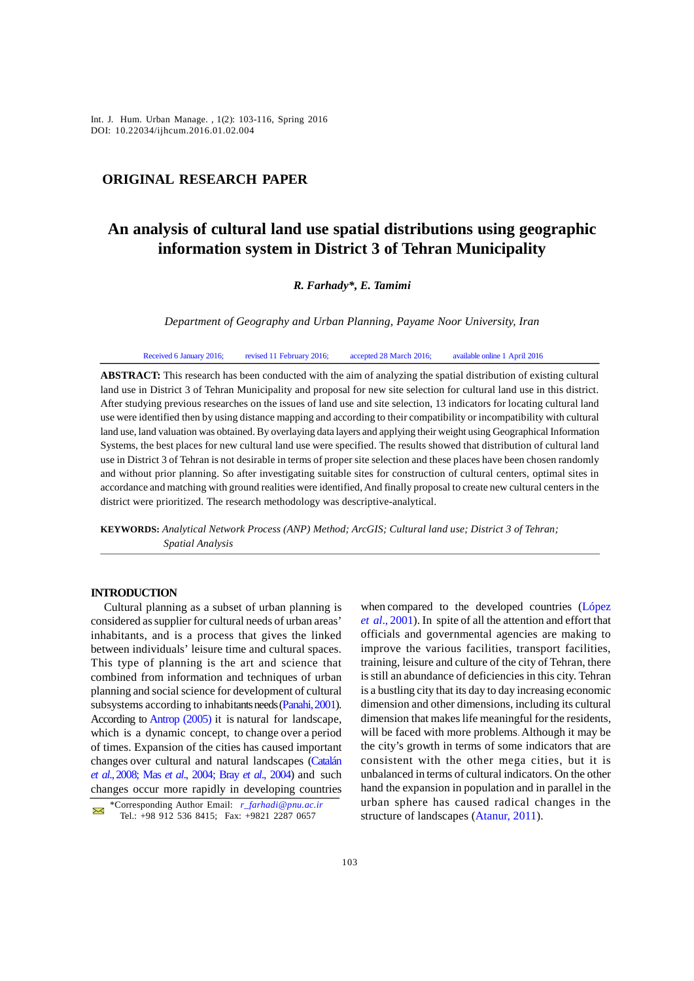*Int. J. Hum. Urban Manage. , 1(2): 103-116, Spring 2016* Int. J. Hum. Urban Manage. , 1(2): 103-116, Spring 2016 DOI: 10.22034/ijhcum.2016.01.02.004

# **ORIGINAL RESEARCH PAPER**

# **An analysis of cultural land use spatial distributions using geographic information system in District 3 of Tehran Municipality**

#### *R. Farhady\*, E. Tamimi*

*Department of Geography and Urban Planning, Payame Noor University, Iran*

Received 6 January 2016; revised 11 February 2016; accepted 28 March 2016; available online 1 April 2016

**ABSTRACT:** This research has been conducted with the aim of analyzing the spatial distribution of existing cultural land use in District 3 of Tehran Municipality and proposal for new site selection for cultural land use in this district. After studying previous researches on the issues of land use and site selection, 13 indicators for locating cultural land use were identified then by using distance mapping and according to their compatibility or incompatibility with cultural land use, land valuation was obtained. By overlaying data layers and applying their weight using Geographical Information Systems, the best places for new cultural land use were specified. The results showed that distribution of cultural land use in District 3 of Tehran is not desirable in terms of proper site selection and these places have been chosen randomly and without prior planning. So after investigating suitable sites for construction of cultural centers, optimal sites in accordance and matching with ground realities were identified, And finally proposal to create new cultural centers in the district were prioritized. The research methodology was descriptive-analytical.

**KEYWORDS:** *Analytical Network Process (ANP) Method; ArcGIS; Cultural land use; District 3 of Tehran; Spatial Analysis*

#### **INTRODUCTION**

Cultural planning as a subset of urban planning is considered as supplier for cultural needs of urban areas' inhabitants, and is a process that gives the linked between individuals' leisure time and cultural spaces. This type of planning is the art and science that combined from information and techniques of urban planning and social science for development of cultural subsystems according to inhabitants needs (Panahi, 2001). According to Antrop (2005) it is natural for landscape, which is a dynamic concept, to change over a period of times. Expansion of the cities has caused important changes over cultural and natural landscapes (Catalán *et al*., 2008; Mas *et al*., 2004; Bray *et al*., 2004) and such changes occur more rapidly in developing countries

when compared to the developed countries (López *et al*., 2001). In spite of all the attention and effort that officials and governmental agencies are making to improve the various facilities, transport facilities, training, leisure and culture of the city of Tehran, there is still an abundance of deficiencies in this city. Tehran is a bustling city that its day to day increasing economic dimension and other dimensions, including its cultural dimension that makes life meaningful for the residents, will be faced with more problems. Although it may be the city's growth in terms of some indicators that are consistent with the other mega cities, but it is unbalanced in terms of cultural indicators. On the other hand the expansion in population and in parallel in the urban sphere has caused radical changes in the structure of landscapes (Atanur, 2011).

 <sup>\*</sup>Corresponding Author Email: *r\_farhadi@pnu.ac.ir* Tel.: +98 912 536 8415; Fax: +9821 2287 0657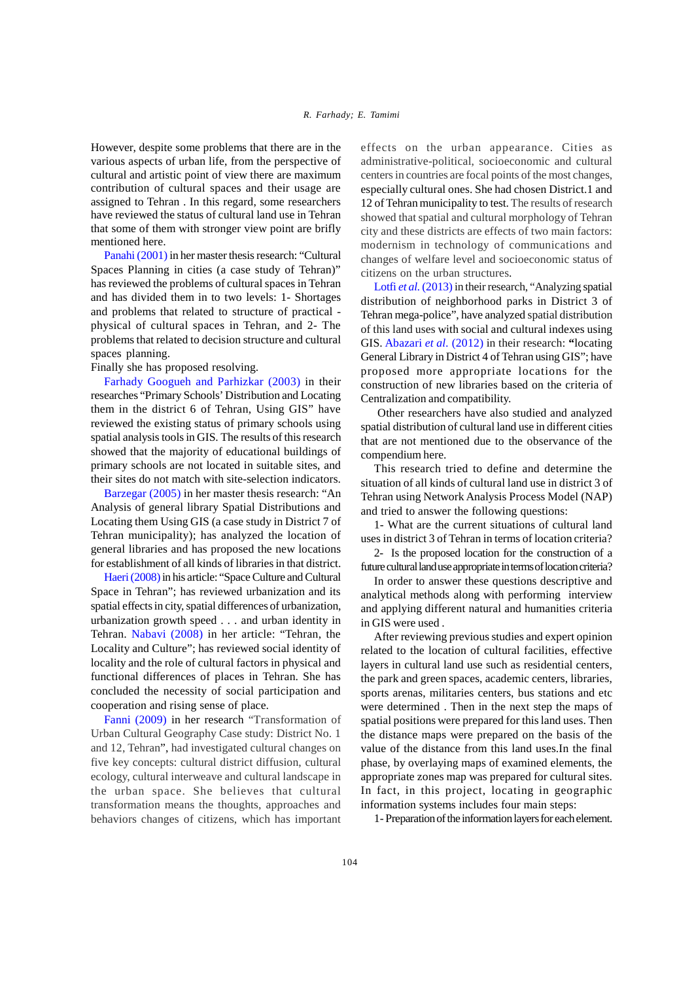However, despite some problems that there are in the various aspects of urban life, from the perspective of cultural and artistic point of view there are maximum contribution of cultural spaces and their usage are assigned to Tehran . In this regard, some researchers have reviewed the status of cultural land use in Tehran that some of them with stronger view point are brifly mentioned here.

Panahi (2001) in her master thesis research: "Cultural Spaces Planning in cities (a case study of Tehran)" has reviewed the problems of cultural spaces in Tehran and has divided them in to two levels: 1- Shortages and problems that related to structure of practical physical of cultural spaces in Tehran, and 2- The problems that related to decision structure and cultural spaces planning.

Finally she has proposed resolving.

Farhady Googueh and Parhizkar (2003) in their researches "Primary Schools' Distribution and Locating them in the district 6 of Tehran, Using GIS" have reviewed the existing status of primary schools using spatial analysis tools in GIS. The results of this research showed that the majority of educational buildings of primary schools are not located in suitable sites, and their sites do not match with site-selection indicators.

Barzegar (2005) in her master thesis research: "An Analysis of general library Spatial Distributions and Locating them Using GIS (a case study in District 7 of Tehran municipality); has analyzed the location of general libraries and has proposed the new locations for establishment of all kinds of libraries in that district.

Haeri (2008) in his article: "Space Culture and Cultural Space in Tehran"; has reviewed urbanization and its spatial effects in city, spatial differences of urbanization, urbanization growth speed . . . and urban identity in Tehran. Nabavi (2008) in her article: "Tehran, the Locality and Culture"; has reviewed social identity of locality and the role of cultural factors in physical and functional differences of places in Tehran. She has concluded the necessity of social participation and cooperation and rising sense of place.

Fanni (2009) in her research "Transformation of Urban Cultural Geography Case study: District No. 1 and 12, Tehran", had investigated cultural changes on five key concepts: cultural district diffusion, cultural ecology, cultural interweave and cultural landscape in the urban space. She believes that cultural transformation means the thoughts, approaches and behaviors changes of citizens, which has important effects on the urban appearance. Cities as administrative-political, socioeconomic and cultural centers in countries are focal points of the most changes, especially cultural ones. She had chosen District.1 and 12 of Tehran municipality to test. The results of research showed that spatial and cultural morphology of Tehran city and these districts are effects of two main factors: modernism in technology of communications and changes of welfare level and socioeconomic status of citizens on the urban structures.

Lotfi *et al.* (2013) in their research, "Analyzing spatial distribution of neighborhood parks in District 3 of Tehran mega-police", have analyzed spatial distribution of this land uses with social and cultural indexes using GIS. Abazari *et al.* (2012) in their research: **"**locating General Library in District 4 of Tehran using GIS"; have proposed more appropriate locations for the construction of new libraries based on the criteria of Centralization and compatibility.

 Other researchers have also studied and analyzed spatial distribution of cultural land use in different cities that are not mentioned due to the observance of the compendium here.

This research tried to define and determine the situation of all kinds of cultural land use in district 3 of Tehran using Network Analysis Process Model (NAP) and tried to answer the following questions:

1- What are the current situations of cultural land uses in district 3 of Tehran in terms of location criteria?

2- Is the proposed location for the construction of a future cultural land use appropriate in terms of location criteria?

In order to answer these questions descriptive and analytical methods along with performing interview and applying different natural and humanities criteria in GIS were used .

After reviewing previous studies and expert opinion related to the location of cultural facilities, effective layers in cultural land use such as residential centers, the park and green spaces, academic centers, libraries, sports arenas, militaries centers, bus stations and etc were determined . Then in the next step the maps of spatial positions were prepared for this land uses. Then the distance maps were prepared on the basis of the value of the distance from this land uses.In the final phase, by overlaying maps of examined elements, the appropriate zones map was prepared for cultural sites. In fact, in this project, locating in geographic information systems includes four main steps:

1- Preparation of the information layers for each element.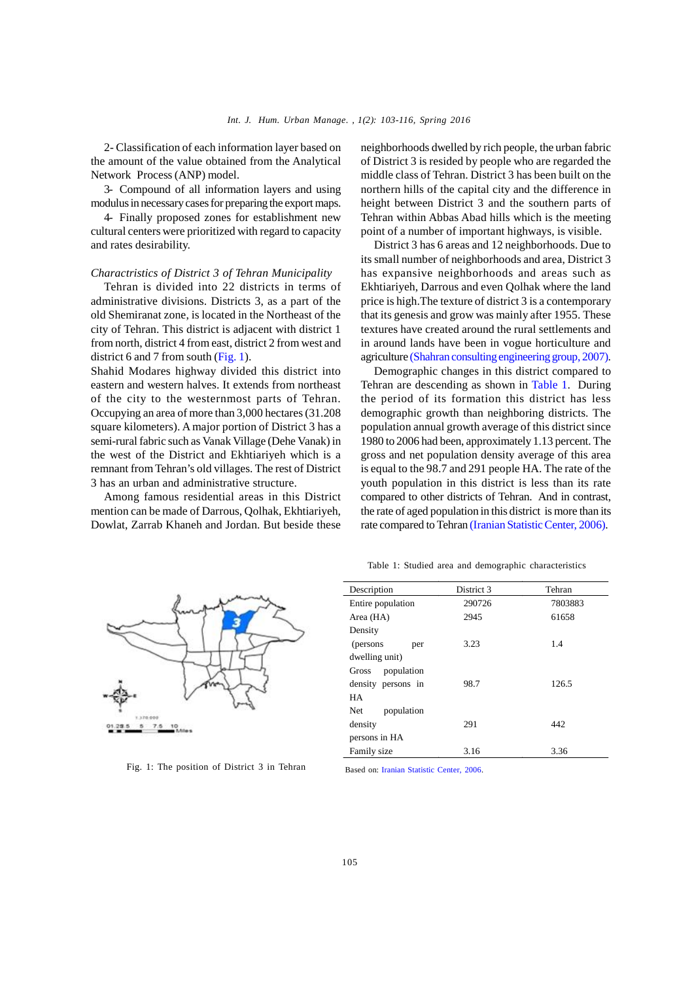2- Classification of each information layer based on the amount of the value obtained from the Analytical Network Process (ANP) model.

3- Compound of all information layers and using modulus in necessary cases for preparing the export maps.

4- Finally proposed zones for establishment new cultural centers were prioritized with regard to capacity and rates desirability.

#### *Charactristics of District 3 of Tehran Municipality*

Tehran is divided into 22 districts in terms of administrative divisions. Districts 3, as a part of the old Shemiranat zone, is located in the Northeast of the city of Tehran. This district is adjacent with district 1 from north, district 4 from east, district 2 from west and district 6 and 7 from south (Fig. 1).

Shahid Modares highway divided this district into eastern and western halves. It extends from northeast of the city to the westernmost parts of Tehran. Occupying an area of more than 3,000 hectares (31.208 square kilometers). A major portion of District 3 has a semi-rural fabric such as Vanak Village (Dehe Vanak) in the west of the District and Ekhtiariyeh which is a remnant from Tehran's old villages. The rest of District 3 has an urban and administrative structure.

Among famous residential areas in this District mention can be made of Darrous, Qolhak, Ekhtiariyeh, Dowlat, Zarrab Khaneh and Jordan. But beside these

neighborhoods dwelled by rich people, the urban fabric of District 3 is resided by people who are regarded the middle class of Tehran. District 3 has been built on the northern hills of the capital city and the difference in height between District 3 and the southern parts of Tehran within Abbas Abad hills which is the meeting point of a number of important highways, is visible.

District 3 has 6 areas and 12 neighborhoods. Due to its small number of neighborhoods and area, District 3 has expansive neighborhoods and areas such as Ekhtiariyeh, Darrous and even Qolhak where the land price is high.The texture of district 3 is a contemporary that its genesis and grow was mainly after 1955. These textures have created around the rural settlements and in around lands have been in vogue horticulture and agriculture (Shahran consulting engineering group, 2007).

Demographic changes in this district compared to Tehran are descending as shown in Table 1. During the period of its formation this district has less demographic growth than neighboring districts. The population annual growth average of this district since 1980 to 2006 had been, approximately 1.13 percent. The gross and net population density average of this area is equal to the 98.7 and 291 people HA. The rate of the youth population in this district is less than its rate compared to other districts of Tehran. And in contrast, the rate of aged population in this district is more than its rate compared to Tehran (Iranian Statistic Center, 2006).



Fig. 1: The position of District 3 in Tehran

Table 1: Studied area and demographic characteristics

| District 3 | Tehran  |
|------------|---------|
| 290726     | 7803883 |
| 2945       | 61658   |
|            |         |
| 3.23       | 1.4     |
|            |         |
|            |         |
| 98.7       | 126.5   |
|            |         |
|            |         |
| 291        | 442     |
|            |         |
| 3.16       | 3.36    |
|            |         |

Based on: Iranian Statistic Center, 2006.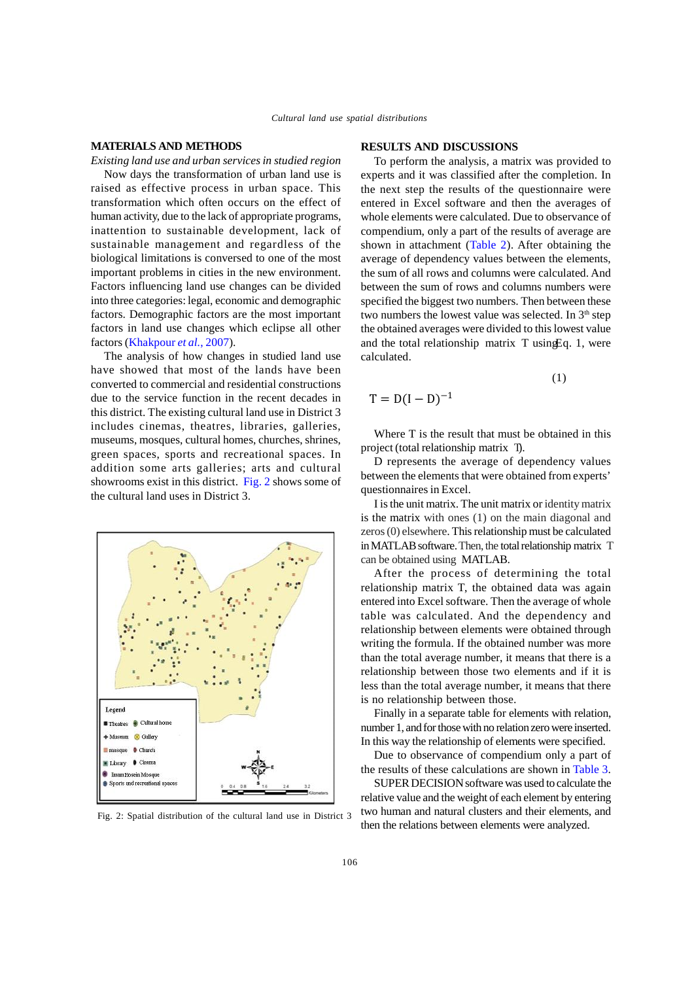#### **MATERIALS AND METHODS**

*Existing land use and urban services in studied region* Now days the transformation of urban land use is raised as effective process in urban space. This transformation which often occurs on the effect of human activity, due to the lack of appropriate programs, inattention to sustainable development, lack of sustainable management and regardless of the biological limitations is conversed to one of the most important problems in cities in the new environment. Factors influencing land use changes can be divided into three categories: legal, economic and demographic factors. Demographic factors are the most important factors in land use changes which eclipse all other factors (Khakpour *et al.*, 2007).

The analysis of how changes in studied land use have showed that most of the lands have been converted to commercial and residential constructions due to the service function in the recent decades in this district. The existing cultural land use in District 3 includes cinemas, theatres, libraries, galleries, museums, mosques, cultural homes, churches, shrines, green spaces, sports and recreational spaces. In addition some arts galleries; arts and cultural showrooms exist in this district. Fig. 2 shows some of the cultural land uses in District 3.



Fig. 2: Spatial distribution of the cultural land use in District 3

#### **RESULTS AND DISCUSSIONS**

To perform the analysis, a matrix was provided to experts and it was classified after the completion. In the next step the results of the questionnaire were entered in Excel software and then the averages of whole elements were calculated. Due to observance of compendium, only a part of the results of average are shown in attachment (Table 2). After obtaining the average of dependency values between the elements, the sum of all rows and columns were calculated. And between the sum of rows and columns numbers were specified the biggest two numbers. Then between these two numbers the lowest value was selected. In  $3<sup>th</sup>$  step the obtained averages were divided to this lowest value and the total relationship matrix  $T$  using Eq. 1, were calculated.

$$
(1) \quad
$$

$$
T = D(I - D)^{-1}
$$

Where T is the result that must be obtained in this project (total relationship matrix T).

D represents the average of dependency values between the elements that were obtained from experts' questionnaires in Excel.

I is the unit matrix. The unit matrix or identity matrix is the matrix with ones (1) on the main diagonal and zeros (0) elsewhere. This relationship must be calculated in MATLAB software.Then, the total relationship matrix T can be obtained using MATLAB.

After the process of determining the total relationship matrix T, the obtained data was again entered into Excel software. Then the average of whole table was calculated. And the dependency and relationship between elements were obtained through writing the formula. If the obtained number was more than the total average number, it means that there is a relationship between those two elements and if it is less than the total average number, it means that there is no relationship between those.

Finally in a separate table for elements with relation, number 1, and for those with no relation zero were inserted. In this way the relationship of elements were specified.

Due to observance of compendium only a part of the results of these calculations are shown in Table 3.

SUPER DECISION software was used to calculate the relative value and the weight of each element by entering two human and natural clusters and their elements, and then the relations between elements were analyzed.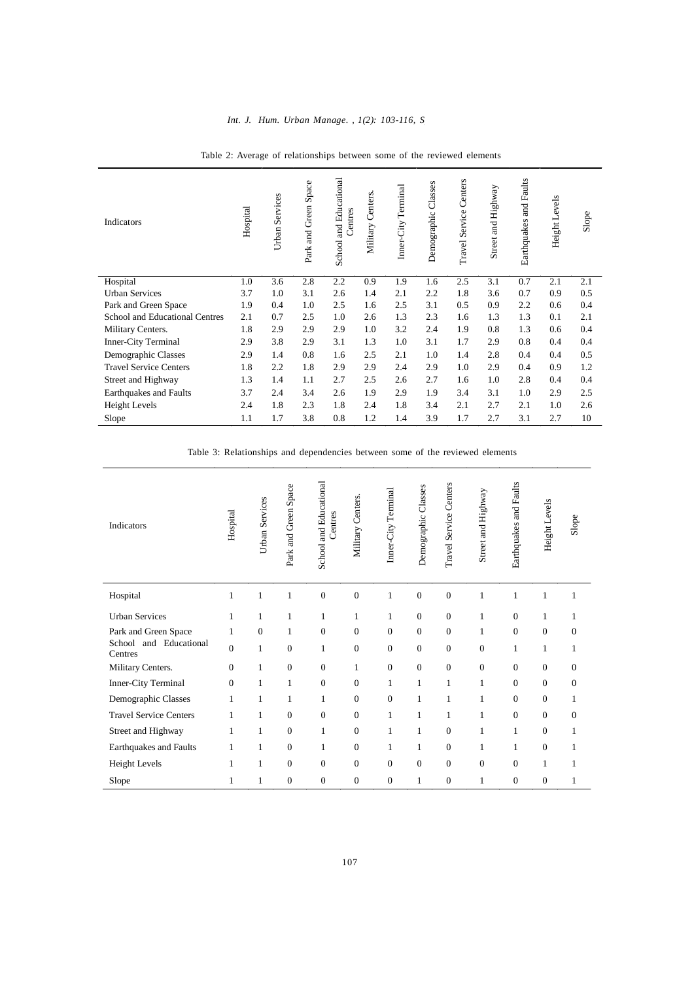| Indicators                     | Hospital | Urban Services | Space<br>Green<br><b>R</b><br>Park | and Educational<br>Centres<br>School: | Centers<br>Military | Terminal<br>Inner-City | Classes<br>Demographic | Service Centers<br>Travel. | Street and Highway | and Faults<br>Earthquakes | Height Levels | Slope |
|--------------------------------|----------|----------------|------------------------------------|---------------------------------------|---------------------|------------------------|------------------------|----------------------------|--------------------|---------------------------|---------------|-------|
| Hospital                       | 1.0      | 3.6            | 2.8                                | 2.2                                   | 0.9                 | 1.9                    | 1.6                    | 2.5                        | 3.1                | 0.7                       | 2.1           | 2.1   |
| <b>Urban Services</b>          | 3.7      | 1.0            | 3.1                                | 2.6                                   | 1.4                 | 2.1                    | 2.2                    | 1.8                        | 3.6                | 0.7                       | 0.9           | 0.5   |
| Park and Green Space           | 1.9      | 0.4            | 1.0                                | 2.5                                   | 1.6                 | 2.5                    | 3.1                    | 0.5                        | 0.9                | 2.2                       | 0.6           | 0.4   |
| School and Educational Centres | 2.1      | 0.7            | 2.5                                | 1.0                                   | 2.6                 | 1.3                    | 2.3                    | 1.6                        | 1.3                | 1.3                       | 0.1           | 2.1   |
| Military Centers.              | 1.8      | 2.9            | 2.9                                | 2.9                                   | 1.0                 | 3.2                    | 2.4                    | 1.9                        | 0.8                | 1.3                       | 0.6           | 0.4   |
| <b>Inner-City Terminal</b>     | 2.9      | 3.8            | 2.9                                | 3.1                                   | 1.3                 | 1.0                    | 3.1                    | 1.7                        | 2.9                | 0.8                       | 0.4           | 0.4   |
| Demographic Classes            | 2.9      | 1.4            | 0.8                                | 1.6                                   | 2.5                 | 2.1                    | 1.0                    | 1.4                        | 2.8                | 0.4                       | 0.4           | 0.5   |
| <b>Travel Service Centers</b>  | 1.8      | 2.2            | 1.8                                | 2.9                                   | 2.9                 | 2.4                    | 2.9                    | 1.0                        | 2.9                | 0.4                       | 0.9           | 1.2   |
| Street and Highway             | 1.3      | 1.4            | 1.1                                | 2.7                                   | 2.5                 | 2.6                    | 2.7                    | 1.6                        | 1.0                | 2.8                       | 0.4           | 0.4   |
| Earthquakes and Faults         | 3.7      | 2.4            | 3.4                                | 2.6                                   | 1.9                 | 2.9                    | 1.9                    | 3.4                        | 3.1                | 1.0                       | 2.9           | 2.5   |
| <b>Height Levels</b>           | 2.4      | 1.8            | 2.3                                | 1.8                                   | 2.4                 | 1.8                    | 3.4                    | 2.1                        | 2.7                | 2.1                       | 1.0           | 2.6   |
| Slope                          | 1.1      | 1.7            | 3.8                                | 0.8                                   | 1.2                 | 1.4                    | 3.9                    | 1.7                        | 2.7                | 3.1                       | 2.7           | 10    |

Table 2: Average of relationships between some of the reviewed elements

Table 3: Relationships and dependencies between some of the reviewed elements

| <b>Indicators</b>                 | Hospital       | Urban Services | Space<br>Green <sup>3</sup><br>Park and | School and Educational<br>Centres | Military Centers. | Inner-City Terminal | Demographic Classes | Travel Service Centers | Street and Highway | Earthquakes and Faults | Height Levels | Slope            |
|-----------------------------------|----------------|----------------|-----------------------------------------|-----------------------------------|-------------------|---------------------|---------------------|------------------------|--------------------|------------------------|---------------|------------------|
| Hospital                          | 1              | $\mathbf{1}$   | 1                                       | $\boldsymbol{0}$                  | $\boldsymbol{0}$  | $\mathbf{1}$        | $\mathbf{0}$        | $\overline{0}$         | 1                  | 1                      | 1             | $\mathbf{1}$     |
| <b>Urban Services</b>             | 1              | $\mathbf{1}$   | 1                                       | 1                                 | $\mathbf{1}$      | $\mathbf{1}$        | $\boldsymbol{0}$    | $\theta$               | 1                  | $\theta$               | 1             | 1                |
| Park and Green Space              | $\mathbf{1}$   | $\mathbf{0}$   | 1                                       | $\overline{0}$                    | $\mathbf{0}$      | $\mathbf{0}$        | $\overline{0}$      | $\overline{0}$         | 1                  | $\mathbf{0}$           | $\mathbf{0}$  | $\mathbf{0}$     |
| School and Educational<br>Centres | $\overline{0}$ | $\mathbf{1}$   | $\mathbf{0}$                            | 1                                 | $\mathbf{0}$      | $\boldsymbol{0}$    | $\overline{0}$      | $\overline{0}$         | $\mathbf{0}$       | 1                      | 1             | $\mathbf{1}$     |
| Military Centers.                 | $\overline{0}$ | 1              | $\boldsymbol{0}$                        | $\boldsymbol{0}$                  | $\mathbf{1}$      | $\boldsymbol{0}$    | $\boldsymbol{0}$    | $\overline{0}$         | $\boldsymbol{0}$   | $\mathbf{0}$           | $\mathbf{0}$  | $\boldsymbol{0}$ |
| Inner-City Terminal               | $\overline{0}$ | 1              | 1                                       | $\overline{0}$                    | $\mathbf{0}$      | $\mathbf{1}$        | 1                   | 1                      | 1                  | $\mathbf{0}$           | $\Omega$      | $\mathbf{0}$     |
| Demographic Classes               | 1              | 1              | 1                                       | 1                                 | $\Omega$          | $\mathbf{0}$        | 1                   | 1                      | 1                  | $\Omega$               | $\Omega$      | 1                |
| <b>Travel Service Centers</b>     | 1              | 1              | $\mathbf{0}$                            | $\boldsymbol{0}$                  | $\mathbf{0}$      | $\mathbf{1}$        | 1                   | 1                      | 1                  | $\Omega$               | $\Omega$      | $\mathbf{0}$     |
| Street and Highway                | 1              | 1              | $\mathbf{0}$                            | 1                                 | $\mathbf{0}$      | $\mathbf{1}$        | 1                   | $\overline{0}$         | 1                  | 1                      | $\mathbf{0}$  | 1                |
| Earthquakes and Faults            | 1              | 1              | $\mathbf{0}$                            | 1                                 | $\mathbf{0}$      | 1                   | 1                   | $\overline{0}$         | 1                  | 1                      | $\mathbf{0}$  | 1                |
| Height Levels                     | 1              | $\mathbf{1}$   | $\mathbf{0}$                            | $\overline{0}$                    | $\Omega$          | $\mathbf{0}$        | $\mathbf{0}$        | $\overline{0}$         | $\mathbf{0}$       | $\Omega$               | 1             | 1                |
| Slope                             | 1              | 1              | $\mathbf{0}$                            | $\mathbf{0}$                      | $\mathbf{0}$      | $\mathbf{0}$        | 1                   | $\overline{0}$         | 1                  | $\mathbf{0}$           | $\mathbf{0}$  | 1                |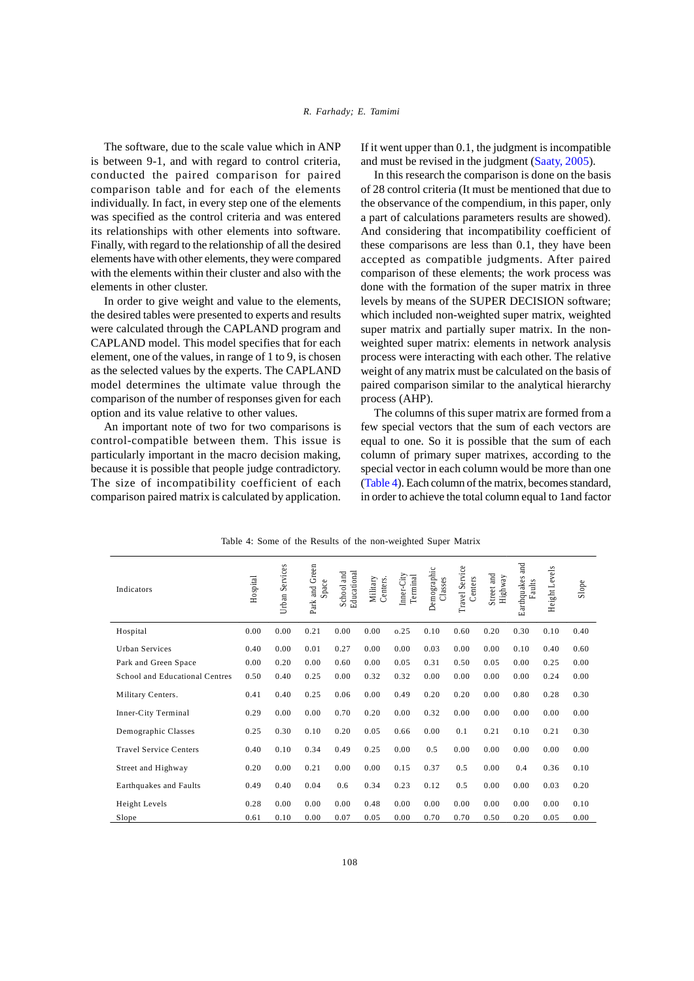The software, due to the scale value which in ANP is between 9-1, and with regard to control criteria, conducted the paired comparison for paired comparison table and for each of the elements individually. In fact, in every step one of the elements was specified as the control criteria and was entered its relationships with other elements into software. Finally, with regard to the relationship of all the desired elements have with other elements, they were compared with the elements within their cluster and also with the elements in other cluster.

In order to give weight and value to the elements, the desired tables were presented to experts and results were calculated through the CAPLAND program and CAPLAND model. This model specifies that for each element, one of the values, in range of 1 to 9, is chosen as the selected values by the experts. The CAPLAND model determines the ultimate value through the comparison of the number of responses given for each option and its value relative to other values.

An important note of two for two comparisons is control-compatible between them. This issue is particularly important in the macro decision making, because it is possible that people judge contradictory. The size of incompatibility coefficient of each comparison paired matrix is calculated by application.

If it went upper than 0.1, the judgment is incompatible and must be revised in the judgment (Saaty, 2005).

In this research the comparison is done on the basis of 28 control criteria (It must be mentioned that due to the observance of the compendium, in this paper, only a part of calculations parameters results are showed). And considering that incompatibility coefficient of these comparisons are less than 0.1, they have been accepted as compatible judgments. After paired comparison of these elements; the work process was done with the formation of the super matrix in three levels by means of the SUPER DECISION software; which included non-weighted super matrix, weighted super matrix and partially super matrix. In the nonweighted super matrix: elements in network analysis process were interacting with each other. The relative weight of any matrix must be calculated on the basis of paired comparison similar to the analytical hierarchy process (AHP).

The columns of this super matrix are formed from a few special vectors that the sum of each vectors are equal to one. So it is possible that the sum of each column of primary super matrixes, according to the special vector in each column would be more than one (Table 4). Each column of the matrix, becomes standard, in order to achieve the total column equal to 1and factor

| Indicators                     | Hospital | Services<br>Urban | Park and Green<br>Space | Educational<br>School and | Centers.<br>Military | Inner-City<br>Terminal | Demographic<br>Classes | Travel Service<br>Centers | Street and<br>Highway | and<br>arthquakes<br>Faults<br>ш | Height Levels | Slope |
|--------------------------------|----------|-------------------|-------------------------|---------------------------|----------------------|------------------------|------------------------|---------------------------|-----------------------|----------------------------------|---------------|-------|
| Hospital                       | 0.00     | 0.00              | 0.21                    | 0.00                      | 0.00                 | 0.25                   | 0.10                   | 0.60                      | 0.20                  | 0.30                             | 0.10          | 0.40  |
| <b>Urban Services</b>          | 0.40     | 0.00              | 0.01                    | 0.27                      | 0.00                 | 0.00                   | 0.03                   | 0.00                      | 0.00                  | 0.10                             | 0.40          | 0.60  |
| Park and Green Space           | 0.00     | 0.20              | 0.00                    | 0.60                      | 0.00                 | 0.05                   | 0.31                   | 0.50                      | 0.05                  | 0.00                             | 0.25          | 0.00  |
| School and Educational Centres | 0.50     | 0.40              | 0.25                    | 0.00                      | 0.32                 | 0.32                   | 0.00                   | 0.00                      | 0.00                  | 0.00                             | 0.24          | 0.00  |
| Military Centers.              | 0.41     | 0.40              | 0.25                    | 0.06                      | 0.00                 | 0.49                   | 0.20                   | 0.20                      | 0.00                  | 0.80                             | 0.28          | 0.30  |
| Inner-City Terminal            | 0.29     | 0.00              | 0.00                    | 0.70                      | 0.20                 | 0.00                   | 0.32                   | 0.00                      | 0.00                  | 0.00                             | 0.00          | 0.00  |
| Demographic Classes            | 0.25     | 0.30              | 0.10                    | 0.20                      | 0.05                 | 0.66                   | 0.00                   | 0.1                       | 0.21                  | 0.10                             | 0.21          | 0.30  |
| <b>Travel Service Centers</b>  | 0.40     | 0.10              | 0.34                    | 0.49                      | 0.25                 | 0.00                   | 0.5                    | 0.00                      | 0.00                  | 0.00                             | 0.00          | 0.00  |
| Street and Highway             | 0.20     | 0.00              | 0.21                    | 0.00                      | 0.00                 | 0.15                   | 0.37                   | 0.5                       | 0.00                  | 0.4                              | 0.36          | 0.10  |
| <b>Earthquakes and Faults</b>  | 0.49     | 0.40              | 0.04                    | 0.6                       | 0.34                 | 0.23                   | 0.12                   | 0.5                       | 0.00                  | 0.00                             | 0.03          | 0.20  |
| Height Levels                  | 0.28     | 0.00              | 0.00                    | 0.00                      | 0.48                 | 0.00                   | 0.00                   | 0.00                      | 0.00                  | 0.00                             | 0.00          | 0.10  |
| Slope                          | 0.61     | 0.10              | 0.00                    | 0.07                      | 0.05                 | 0.00                   | 0.70                   | 0.70                      | 0.50                  | 0.20                             | 0.05          | 0.00  |

Table 4: Some of the Results of the non-weighted Super Matrix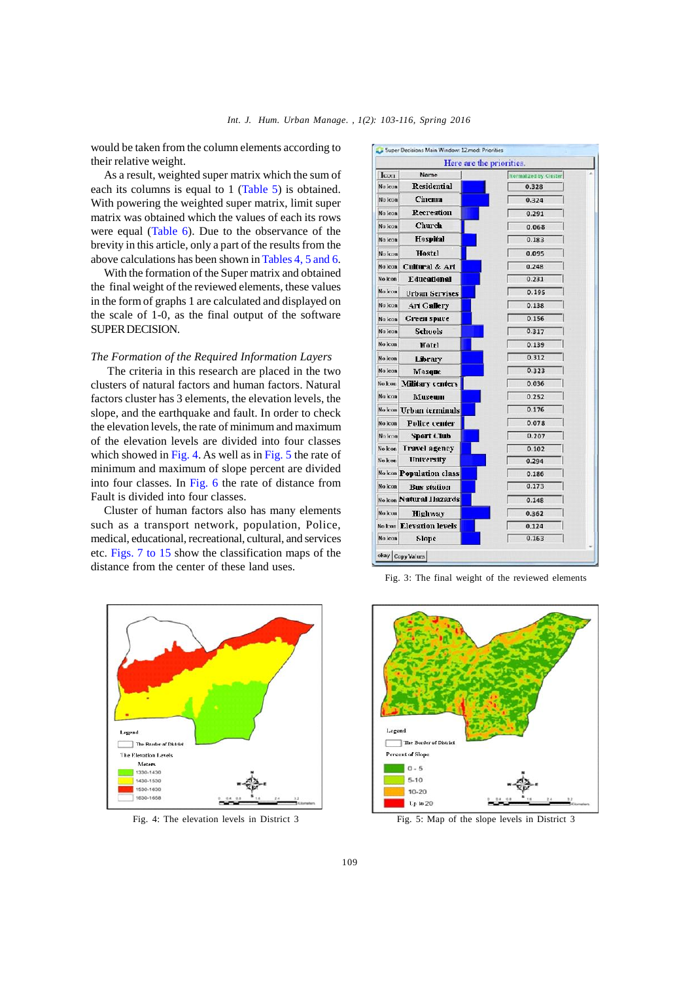would be taken from the column elements according to [ Super Decisions Main Window: 12.mod: Priorities their relative weight.

As a result, weighted super matrix which the sum of each its columns is equal to 1 (Table 5) is obtained. With powering the weighted super matrix, limit super matrix was obtained which the values of each its rows were equal (Table 6). Due to the observance of the brevity in this article, only a part of the results from the  $\frac{1}{N \log N}$ above calculations has been shown in Tables 4, 5 and 6.

With the formation of the Super matrix and obtained the final weight of the reviewed elements, these values in the form of graphs 1 are calculated and displayed on  $\frac{1}{\sqrt{N_0 \log n}}$ the scale of 1-0, as the final output of the software SUPER DECISION.

#### *The Formation of the Required Information Layers*

The criteria in this research are placed in the two  $\frac{N \text{ of } \text{non-ten}}{N \text{ of } \text{non-ten}}$ clusters of natural factors and human factors. Natural factors cluster has 3 elements, the elevation levels, the slope, and the earthquake and fault. In order to check  $\frac{N_{\text{other}}}{N_{\text{other}}}$ the elevation levels, the rate of minimum and maximum of the elevation levels are divided into four classes which showed in Fig. 4. As well as in Fig. 5 the rate of minimum and maximum of slope percent are divided Nokom **Population class** into four classes. In Fig. 6 the rate of distance from  $\frac{1}{\text{Nolom}}$ Fault is divided into four classes.

Cluster of human factors also has many elements such as a transport network, population, Police, medical, educational, recreational, cultural, and services etc. Figs. 7 to 15 show the classification maps of the  $\log_{\text{exp}}$   $\log_{\text{exp}}$  values distance from the center of these land uses.





Fig. 3: The final weight of the reviewed elements



Fig. 4: The elevation levels in District 3 Fig. 5: Map of the slope levels in District 3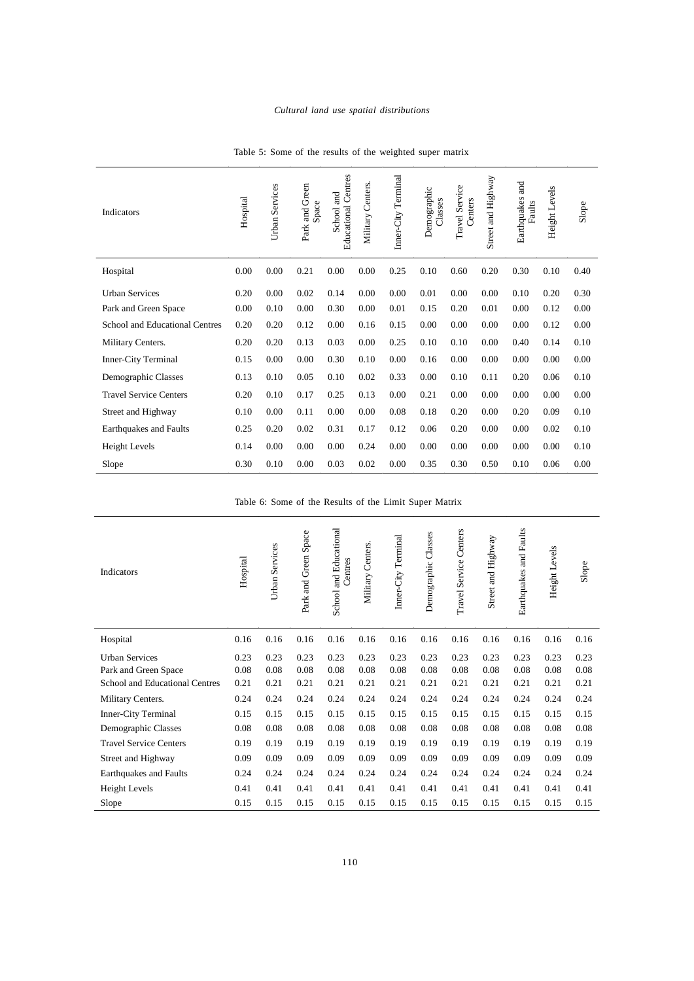| <b>Indicators</b>              | Hospital | <b>Urban Services</b> | Park and Green<br>Space | Centres<br>and<br>Educational<br>School | Centers.<br>Military | Terminal<br>Inner-City | Demographic<br>Classes | Travel Service<br>Centers | Street and Highway | and<br>Earthquakes<br>Faults | Height Levels | Slope |
|--------------------------------|----------|-----------------------|-------------------------|-----------------------------------------|----------------------|------------------------|------------------------|---------------------------|--------------------|------------------------------|---------------|-------|
| Hospital                       | 0.00     | 0.00                  | 0.21                    | 0.00                                    | 0.00                 | 0.25                   | 0.10                   | 0.60                      | 0.20               | 0.30                         | 0.10          | 0.40  |
| <b>Urban Services</b>          | 0.20     | 0.00                  | 0.02                    | 0.14                                    | 0.00                 | 0.00                   | 0.01                   | 0.00                      | 0.00               | 0.10                         | 0.20          | 0.30  |
| Park and Green Space           | 0.00     | 0.10                  | 0.00                    | 0.30                                    | 0.00                 | 0.01                   | 0.15                   | 0.20                      | 0.01               | 0.00                         | 0.12          | 0.00  |
| School and Educational Centres | 0.20     | 0.20                  | 0.12                    | 0.00                                    | 0.16                 | 0.15                   | 0.00                   | 0.00                      | 0.00               | 0.00                         | 0.12          | 0.00  |
| Military Centers.              | 0.20     | 0.20                  | 0.13                    | 0.03                                    | 0.00                 | 0.25                   | 0.10                   | 0.10                      | 0.00               | 0.40                         | 0.14          | 0.10  |
| Inner-City Terminal            | 0.15     | 0.00                  | 0.00                    | 0.30                                    | 0.10                 | 0.00                   | 0.16                   | 0.00                      | 0.00               | 0.00                         | 0.00          | 0.00  |
| Demographic Classes            | 0.13     | 0.10                  | 0.05                    | 0.10                                    | 0.02                 | 0.33                   | 0.00                   | 0.10                      | 0.11               | 0.20                         | 0.06          | 0.10  |
| <b>Travel Service Centers</b>  | 0.20     | 0.10                  | 0.17                    | 0.25                                    | 0.13                 | 0.00                   | 0.21                   | 0.00                      | 0.00               | 0.00                         | 0.00          | 0.00  |
| Street and Highway             | 0.10     | 0.00                  | 0.11                    | 0.00                                    | 0.00                 | 0.08                   | 0.18                   | 0.20                      | 0.00               | 0.20                         | 0.09          | 0.10  |
| <b>Earthquakes and Faults</b>  | 0.25     | 0.20                  | 0.02                    | 0.31                                    | 0.17                 | 0.12                   | 0.06                   | 0.20                      | 0.00               | 0.00                         | 0.02          | 0.10  |
| Height Levels                  | 0.14     | 0.00                  | 0.00                    | 0.00                                    | 0.24                 | 0.00                   | 0.00                   | 0.00                      | 0.00               | 0.00                         | 0.00          | 0.10  |
| Slope                          | 0.30     | 0.10                  | 0.00                    | 0.03                                    | 0.02                 | 0.00                   | 0.35                   | 0.30                      | 0.50               | 0.10                         | 0.06          | 0.00  |

Table 5: Some of the results of the weighted super matrix

Table 6: Some of the Results of the Limit Super Matrix

| Indicators                     | Hospital | Urban Services | Park and Green Space | School and Educational<br>Centres | Centers.<br>Military | Inner-City Terminal | Classes<br>Demographic | Centers<br>Travel Service | Street and Highway | and Faults<br>Earthquakes | Height Levels | Slope |
|--------------------------------|----------|----------------|----------------------|-----------------------------------|----------------------|---------------------|------------------------|---------------------------|--------------------|---------------------------|---------------|-------|
| Hospital                       | 0.16     | 0.16           | 0.16                 | 0.16                              | 0.16                 | 0.16                | 0.16                   | 0.16                      | 0.16               | 0.16                      | 0.16          | 0.16  |
| <b>Urban Services</b>          | 0.23     | 0.23           | 0.23                 | 0.23                              | 0.23                 | 0.23                | 0.23                   | 0.23                      | 0.23               | 0.23                      | 0.23          | 0.23  |
| Park and Green Space           | 0.08     | 0.08           | 0.08                 | 0.08                              | 0.08                 | 0.08                | 0.08                   | 0.08                      | 0.08               | 0.08                      | 0.08          | 0.08  |
| School and Educational Centres | 0.21     | 0.21           | 0.21                 | 0.21                              | 0.21                 | 0.21                | 0.21                   | 0.21                      | 0.21               | 0.21                      | 0.21          | 0.21  |
| Military Centers.              | 0.24     | 0.24           | 0.24                 | 0.24                              | 0.24                 | 0.24                | 0.24                   | 0.24                      | 0.24               | 0.24                      | 0.24          | 0.24  |
| <b>Inner-City Terminal</b>     | 0.15     | 0.15           | 0.15                 | 0.15                              | 0.15                 | 0.15                | 0.15                   | 0.15                      | 0.15               | 0.15                      | 0.15          | 0.15  |
| Demographic Classes            | 0.08     | 0.08           | 0.08                 | 0.08                              | 0.08                 | 0.08                | 0.08                   | 0.08                      | 0.08               | 0.08                      | 0.08          | 0.08  |
| <b>Travel Service Centers</b>  | 0.19     | 0.19           | 0.19                 | 0.19                              | 0.19                 | 0.19                | 0.19                   | 0.19                      | 0.19               | 0.19                      | 0.19          | 0.19  |
| Street and Highway             | 0.09     | 0.09           | 0.09                 | 0.09                              | 0.09                 | 0.09                | 0.09                   | 0.09                      | 0.09               | 0.09                      | 0.09          | 0.09  |
| Earthquakes and Faults         | 0.24     | 0.24           | 0.24                 | 0.24                              | 0.24                 | 0.24                | 0.24                   | 0.24                      | 0.24               | 0.24                      | 0.24          | 0.24  |
| <b>Height Levels</b>           | 0.41     | 0.41           | 0.41                 | 0.41                              | 0.41                 | 0.41                | 0.41                   | 0.41                      | 0.41               | 0.41                      | 0.41          | 0.41  |
| Slope                          | 0.15     | 0.15           | 0.15                 | 0.15                              | 0.15                 | 0.15                | 0.15                   | 0.15                      | 0.15               | 0.15                      | 0.15          | 0.15  |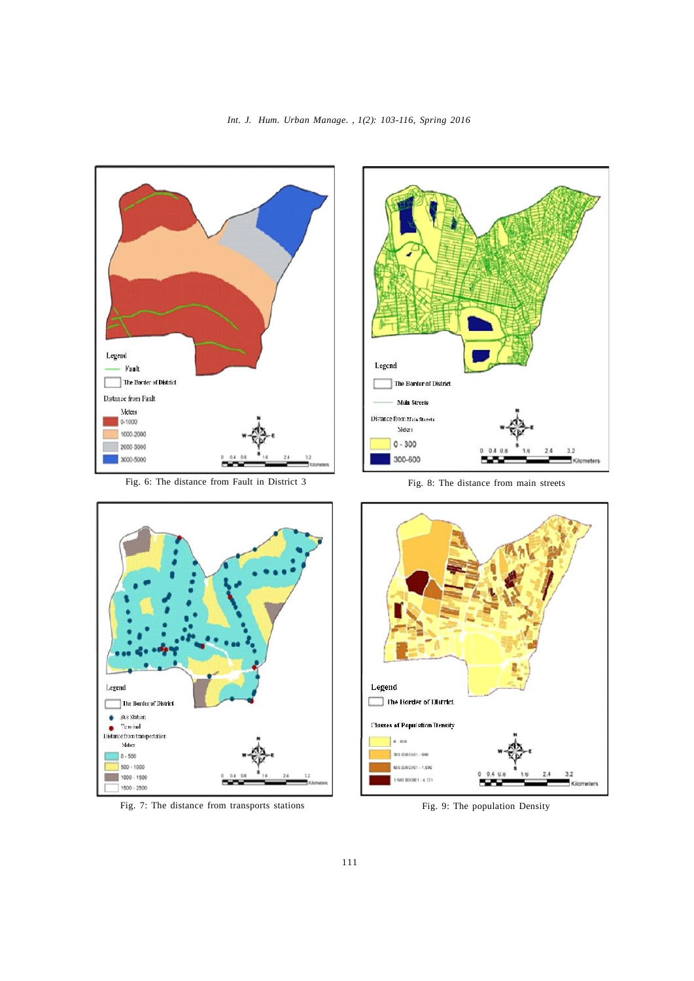*Int. J. Hum. Urban Manage. , 1(2): 103-116, Spring 2016*



Fig. 6: The distance from Fault in District 3



Fig. 8: The distance from main streets



Fig. 7: The distance from transports stations



Fig. 9: The population Density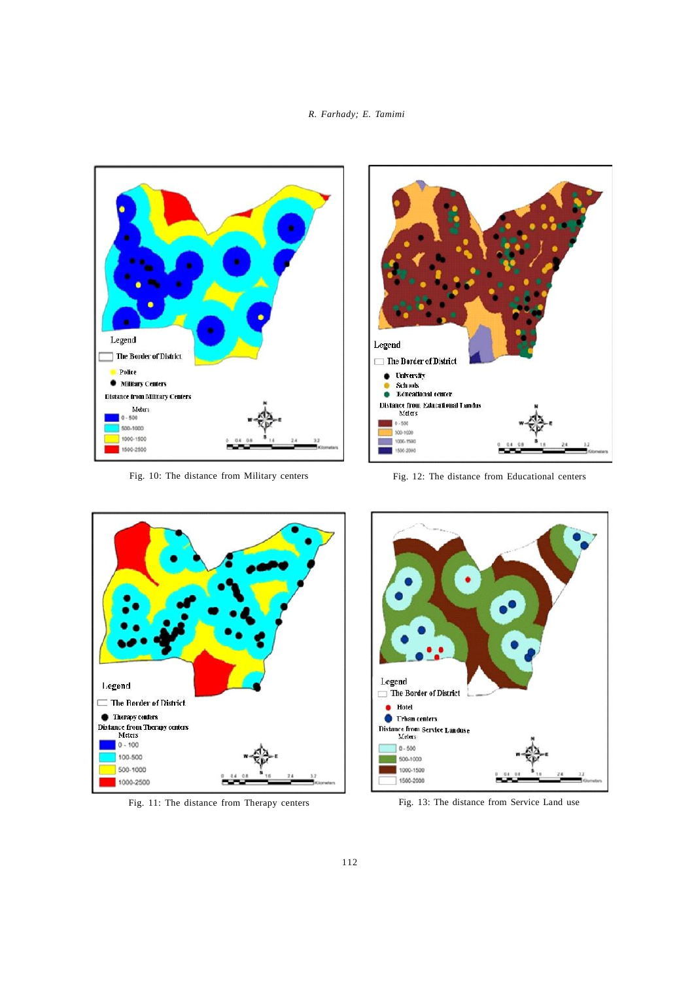# *Int. J. Hum. Urban Manage. , 1(2): 103-116, Spring 2016 R. Farhady; E. Tamimi*



Fig. 10: The distance from Military centers



Fig. 12: The distance from Educational centers



Fig. 11: The distance from Therapy centers



Fig. 13: The distance from Service Land use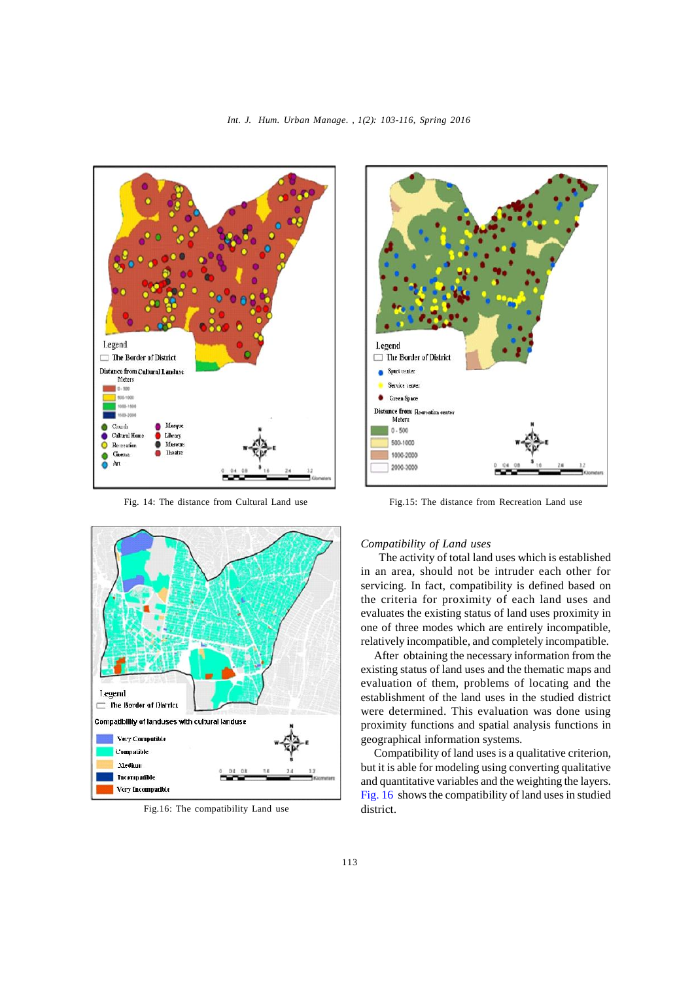



Fig.16: The compatibility Land use district.



Fig. 14: The distance from Cultural Land use Fig.15: The distance from Recreation Land use

## *Compatibility of Land uses*

 The activity of total land uses which is established in an area, should not be intruder each other for servicing. In fact, compatibility is defined based on the criteria for proximity of each land uses and evaluates the existing status of land uses proximity in one of three modes which are entirely incompatible, relatively incompatible, and completely incompatible.

After obtaining the necessary information from the existing status of land uses and the thematic maps and evaluation of them, problems of locating and the establishment of the land uses in the studied district were determined. This evaluation was done using proximity functions and spatial analysis functions in geographical information systems.

Compatibility of land uses is a qualitative criterion, but it is able for modeling using converting qualitative and quantitative variables and the weighting the layers. Fig. 16 shows the compatibility of land uses in studied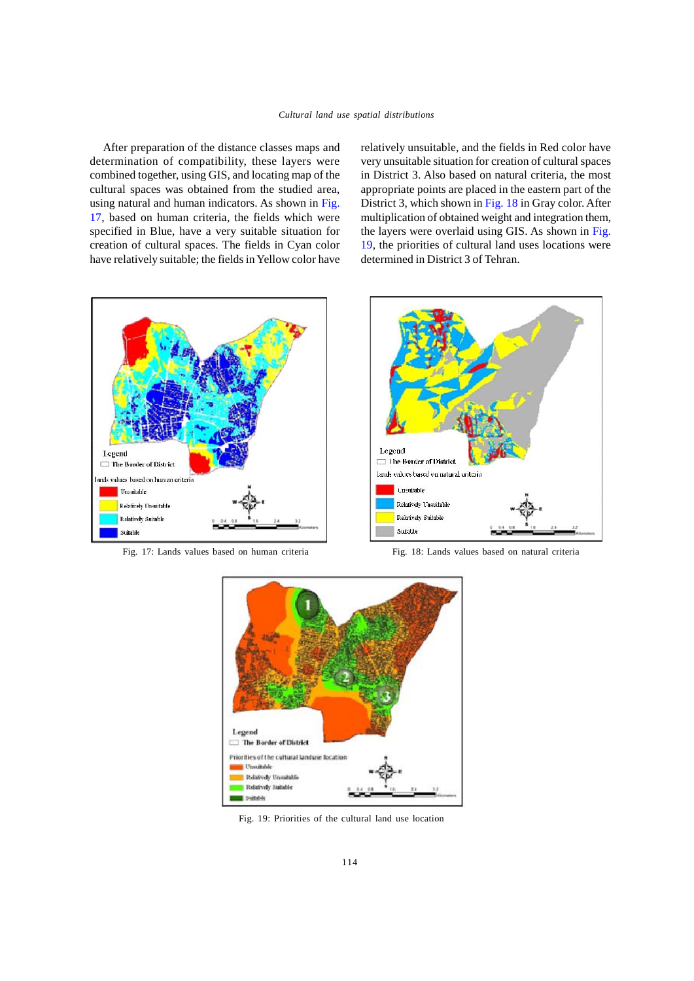After preparation of the distance classes maps and determination of compatibility, these layers were combined together, using GIS, and locating map of the cultural spaces was obtained from the studied area, using natural and human indicators. As shown in Fig. 17, based on human criteria, the fields which were specified in Blue, have a very suitable situation for creation of cultural spaces. The fields in Cyan color have relatively suitable; the fields in Yellow color have

relatively unsuitable, and the fields in Red color have very unsuitable situation for creation of cultural spaces in District 3. Also based on natural criteria, the most appropriate points are placed in the eastern part of the District 3, which shown in Fig. 18 in Gray color. After multiplication of obtained weight and integration them, the layers were overlaid using GIS. As shown in Fig. 19, the priorities of cultural land uses locations were determined in District 3 of Tehran.





Fig. 17: Lands values based on human criteria Fig. 18: Lands values based on natural criteria



Fig. 19: Priorities of the cultural land use location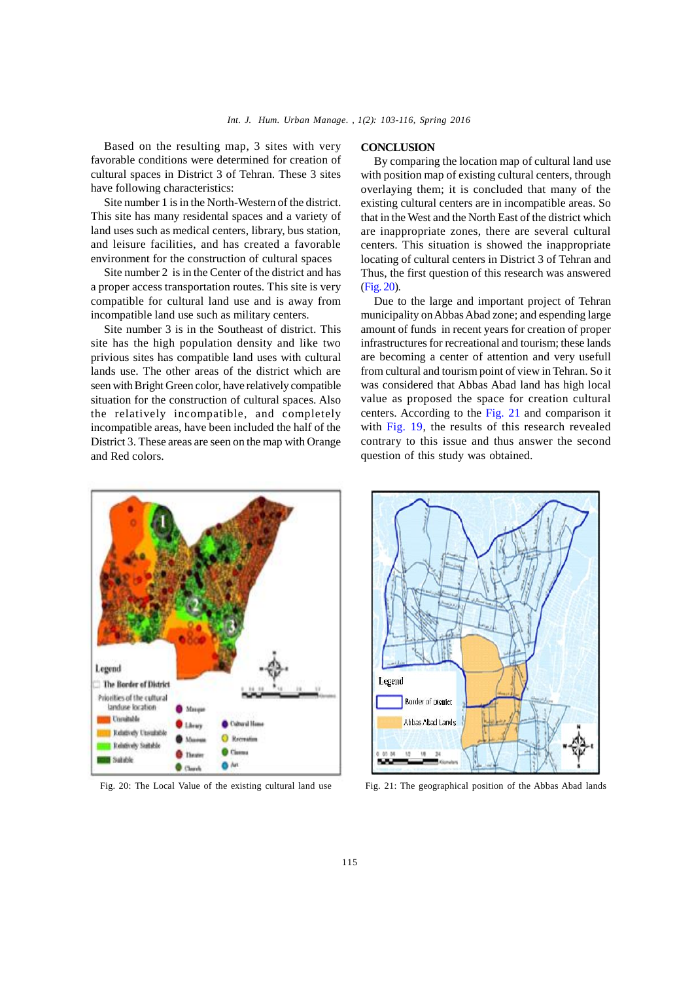Based on the resulting map, 3 sites with very favorable conditions were determined for creation of cultural spaces in District 3 of Tehran. These 3 sites have following characteristics:

Site number 1 is in the North-Western of the district. This site has many residental spaces and a variety of land uses such as medical centers, library, bus station, and leisure facilities, and has created a favorable environment for the construction of cultural spaces

Site number 2 is in the Center of the district and has a proper access transportation routes. This site is very compatible for cultural land use and is away from incompatible land use such as military centers.

Site number 3 is in the Southeast of district. This site has the high population density and like two privious sites has compatible land uses with cultural lands use. The other areas of the district which are seen with Bright Green color, have relatively compatible situation for the construction of cultural spaces. Also the relatively incompatible, and completely incompatible areas, have been included the half of the District 3. These areas are seen on the map with Orange and Red colors.

#### **CONCLUSION**

By comparing the location map of cultural land use with position map of existing cultural centers, through overlaying them; it is concluded that many of the existing cultural centers are in incompatible areas. So that in the West and the North East of the district which are inappropriate zones, there are several cultural centers. This situation is showed the inappropriate locating of cultural centers in District 3 of Tehran and Thus, the first question of this research was answered (Fig. 20).

Due to the large and important project of Tehran municipality on Abbas Abad zone; and espending large amount of funds in recent years for creation of proper infrastructures for recreational and tourism; these lands are becoming a center of attention and very usefull from cultural and tourism point of view in Tehran. So it was considered that Abbas Abad land has high local value as proposed the space for creation cultural centers. According to the Fig. 21 and comparison it with Fig. 19, the results of this research revealed contrary to this issue and thus answer the second question of this study was obtained.





Fig. 20: The Local Value of the existing cultural land use Fig. 21: The geographical position of the Abbas Abad lands